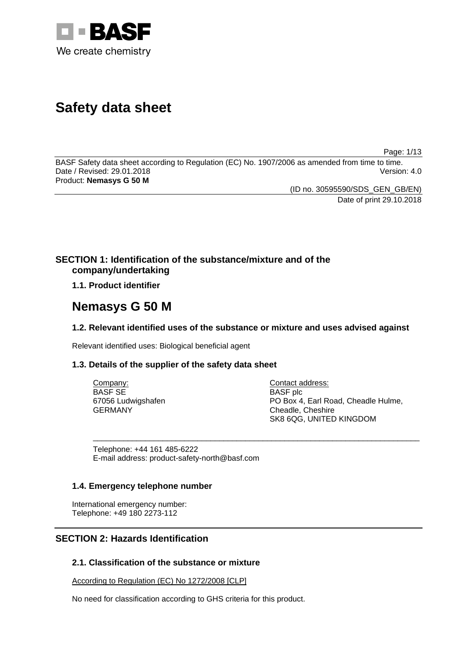

# **Safety data sheet**

Page: 1/13

BASF Safety data sheet according to Regulation (EC) No. 1907/2006 as amended from time to time. Date / Revised: 29.01.2018 Version: 4.0 Product: **Nemasys G 50 M**

> (ID no. 30595590/SDS\_GEN\_GB/EN) Date of print 29.10.2018

# **SECTION 1: Identification of the substance/mixture and of the company/undertaking**

**1.1. Product identifier**

# **Nemasys G 50 M**

# **1.2. Relevant identified uses of the substance or mixture and uses advised against**

Relevant identified uses: Biological beneficial agent

# **1.3. Details of the supplier of the safety data sheet**

| Company:           | Contact address:                    |
|--------------------|-------------------------------------|
| <b>BASF SE</b>     | BASF plc                            |
| 67056 Ludwigshafen | PO Box 4, Earl Road, Cheadle Hulme, |
| <b>GERMANY</b>     | Cheadle, Cheshire                   |
|                    | SK8 6QG, UNITED KINGDOM             |

\_\_\_\_\_\_\_\_\_\_\_\_\_\_\_\_\_\_\_\_\_\_\_\_\_\_\_\_\_\_\_\_\_\_\_\_\_\_\_\_\_\_\_\_\_\_\_\_\_\_\_\_\_\_\_\_\_\_\_\_\_\_\_\_\_\_\_\_\_\_\_\_\_\_\_

Telephone: +44 161 485-6222 E-mail address: product-safety-north@basf.com

# **1.4. Emergency telephone number**

International emergency number: Telephone: +49 180 2273-112

# **SECTION 2: Hazards Identification**

# **2.1. Classification of the substance or mixture**

According to Regulation (EC) No 1272/2008 [CLP]

No need for classification according to GHS criteria for this product.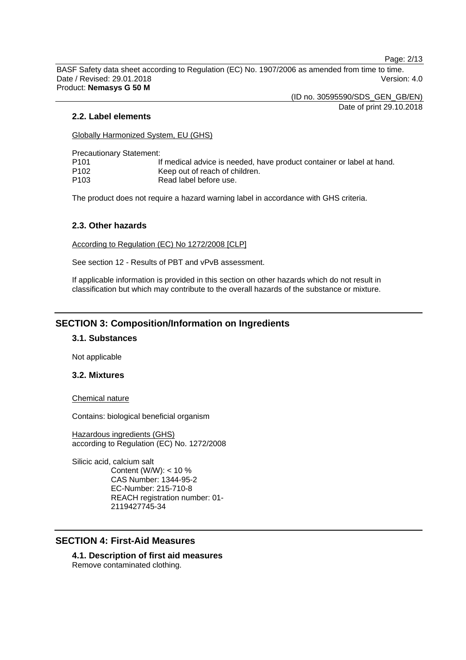Page: 2/13

BASF Safety data sheet according to Regulation (EC) No. 1907/2006 as amended from time to time. Date / Revised: 29.01.2018 Version: 4.0 Product: **Nemasys G 50 M**

(ID no. 30595590/SDS\_GEN\_GB/EN)

Date of print 29.10.2018

## **2.2. Label elements**

Globally Harmonized System, EU (GHS)

Precautionary Statement:

| P101 | If medical advice is needed, have product container or label at hand. |
|------|-----------------------------------------------------------------------|
| P102 | Keep out of reach of children.                                        |
| P103 | Read label before use.                                                |

The product does not require a hazard warning label in accordance with GHS criteria.

## **2.3. Other hazards**

According to Regulation (EC) No 1272/2008 [CLP]

See section 12 - Results of PBT and vPvB assessment.

If applicable information is provided in this section on other hazards which do not result in classification but which may contribute to the overall hazards of the substance or mixture.

# **SECTION 3: Composition/Information on Ingredients**

## **3.1. Substances**

Not applicable

#### **3.2. Mixtures**

Chemical nature

Contains: biological beneficial organism

Hazardous ingredients (GHS) according to Regulation (EC) No. 1272/2008

Silicic acid, calcium salt Content (W/W): < 10 % CAS Number: 1344-95-2 EC-Number: 215-710-8 REACH registration number: 01- 2119427745-34

# **SECTION 4: First-Aid Measures**

**4.1. Description of first aid measures** Remove contaminated clothing.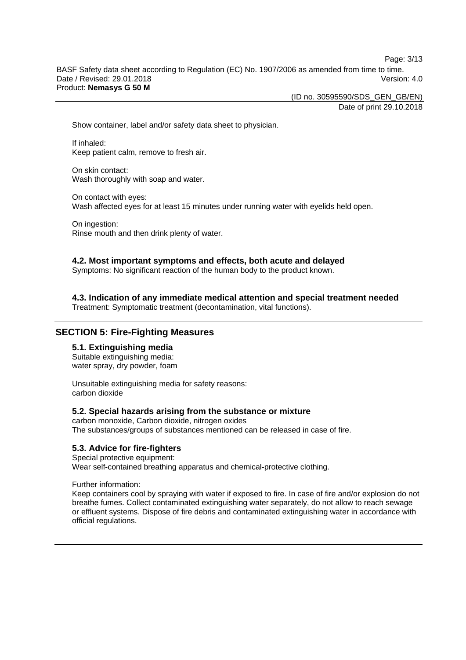Page: 3/13

BASF Safety data sheet according to Regulation (EC) No. 1907/2006 as amended from time to time. Date / Revised: 29.01.2018 Version: 4.0 Product: **Nemasys G 50 M**

(ID no. 30595590/SDS\_GEN\_GB/EN)

Date of print 29.10.2018

Show container, label and/or safety data sheet to physician.

If inhaled: Keep patient calm, remove to fresh air.

On skin contact: Wash thoroughly with soap and water.

On contact with eyes: Wash affected eyes for at least 15 minutes under running water with eyelids held open.

On ingestion: Rinse mouth and then drink plenty of water.

## **4.2. Most important symptoms and effects, both acute and delayed**

Symptoms: No significant reaction of the human body to the product known.

**4.3. Indication of any immediate medical attention and special treatment needed**

Treatment: Symptomatic treatment (decontamination, vital functions).

# **SECTION 5: Fire-Fighting Measures**

# **5.1. Extinguishing media**

Suitable extinguishing media: water spray, dry powder, foam

Unsuitable extinguishing media for safety reasons: carbon dioxide

#### **5.2. Special hazards arising from the substance or mixture**

carbon monoxide, Carbon dioxide, nitrogen oxides The substances/groups of substances mentioned can be released in case of fire.

#### **5.3. Advice for fire-fighters**

Special protective equipment: Wear self-contained breathing apparatus and chemical-protective clothing.

Further information:

Keep containers cool by spraying with water if exposed to fire. In case of fire and/or explosion do not breathe fumes. Collect contaminated extinguishing water separately, do not allow to reach sewage or effluent systems. Dispose of fire debris and contaminated extinguishing water in accordance with official regulations.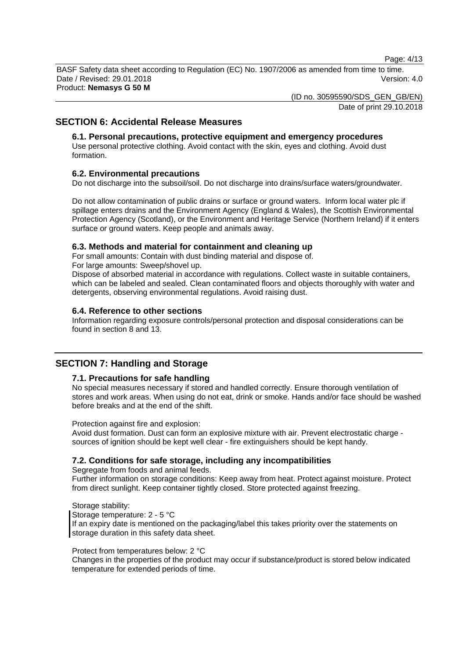Page: 4/13

BASF Safety data sheet according to Regulation (EC) No. 1907/2006 as amended from time to time. Date / Revised: 29.01.2018 Version: 4.0 Product: **Nemasys G 50 M**

(ID no. 30595590/SDS\_GEN\_GB/EN)

Date of print 29.10.2018

# **SECTION 6: Accidental Release Measures**

# **6.1. Personal precautions, protective equipment and emergency procedures**

Use personal protective clothing. Avoid contact with the skin, eyes and clothing. Avoid dust formation.

# **6.2. Environmental precautions**

Do not discharge into the subsoil/soil. Do not discharge into drains/surface waters/groundwater.

Do not allow contamination of public drains or surface or ground waters. Inform local water plc if spillage enters drains and the Environment Agency (England & Wales), the Scottish Environmental Protection Agency (Scotland), or the Environment and Heritage Service (Northern Ireland) if it enters surface or ground waters. Keep people and animals away.

# **6.3. Methods and material for containment and cleaning up**

For small amounts: Contain with dust binding material and dispose of.

For large amounts: Sweep/shovel up.

Dispose of absorbed material in accordance with regulations. Collect waste in suitable containers, which can be labeled and sealed. Clean contaminated floors and objects thoroughly with water and detergents, observing environmental regulations. Avoid raising dust.

# **6.4. Reference to other sections**

Information regarding exposure controls/personal protection and disposal considerations can be found in section 8 and 13.

# **SECTION 7: Handling and Storage**

# **7.1. Precautions for safe handling**

No special measures necessary if stored and handled correctly. Ensure thorough ventilation of stores and work areas. When using do not eat, drink or smoke. Hands and/or face should be washed before breaks and at the end of the shift.

Protection against fire and explosion:

Avoid dust formation. Dust can form an explosive mixture with air. Prevent electrostatic charge sources of ignition should be kept well clear - fire extinguishers should be kept handy.

# **7.2. Conditions for safe storage, including any incompatibilities**

Segregate from foods and animal feeds.

Further information on storage conditions: Keep away from heat. Protect against moisture. Protect from direct sunlight. Keep container tightly closed. Store protected against freezing.

Storage stability: Storage temperature: 2 - 5 °C If an expiry date is mentioned on the packaging/label this takes priority over the statements on storage duration in this safety data sheet.

#### Protect from temperatures below: 2 °C

Changes in the properties of the product may occur if substance/product is stored below indicated temperature for extended periods of time.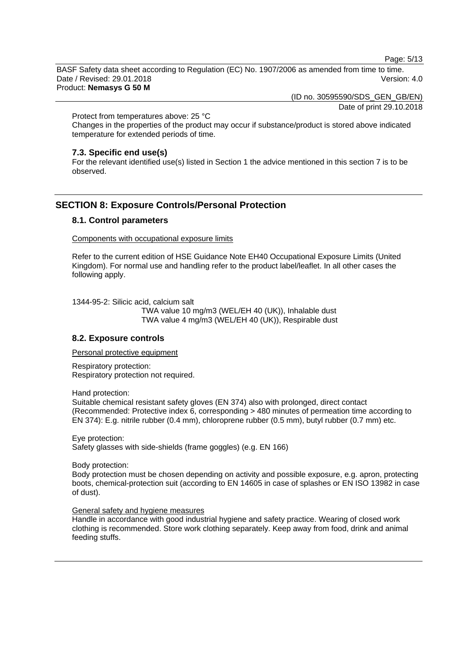Page: 5/13

BASF Safety data sheet according to Regulation (EC) No. 1907/2006 as amended from time to time. Date / Revised: 29.01.2018 Version: 4.0 Product: **Nemasys G 50 M**

(ID no. 30595590/SDS\_GEN\_GB/EN)

Date of print 29.10.2018

Protect from temperatures above: 25 °C

Changes in the properties of the product may occur if substance/product is stored above indicated temperature for extended periods of time.

#### **7.3. Specific end use(s)**

For the relevant identified use(s) listed in Section 1 the advice mentioned in this section 7 is to be observed.

## **SECTION 8: Exposure Controls/Personal Protection**

# **8.1. Control parameters**

Components with occupational exposure limits

Refer to the current edition of HSE Guidance Note EH40 Occupational Exposure Limits (United Kingdom). For normal use and handling refer to the product label/leaflet. In all other cases the following apply.

1344-95-2: Silicic acid, calcium salt

TWA value 10 mg/m3 (WEL/EH 40 (UK)), Inhalable dust TWA value 4 mg/m3 (WEL/EH 40 (UK)), Respirable dust

## **8.2. Exposure controls**

Personal protective equipment

Respiratory protection: Respiratory protection not required.

Hand protection:

Suitable chemical resistant safety gloves (EN 374) also with prolonged, direct contact (Recommended: Protective index 6, corresponding > 480 minutes of permeation time according to EN 374): E.g. nitrile rubber (0.4 mm), chloroprene rubber (0.5 mm), butyl rubber (0.7 mm) etc.

Eye protection: Safety glasses with side-shields (frame goggles) (e.g. EN 166)

Body protection:

Body protection must be chosen depending on activity and possible exposure, e.g. apron, protecting boots, chemical-protection suit (according to EN 14605 in case of splashes or EN ISO 13982 in case of dust).

#### General safety and hygiene measures

Handle in accordance with good industrial hygiene and safety practice. Wearing of closed work clothing is recommended. Store work clothing separately. Keep away from food, drink and animal feeding stuffs.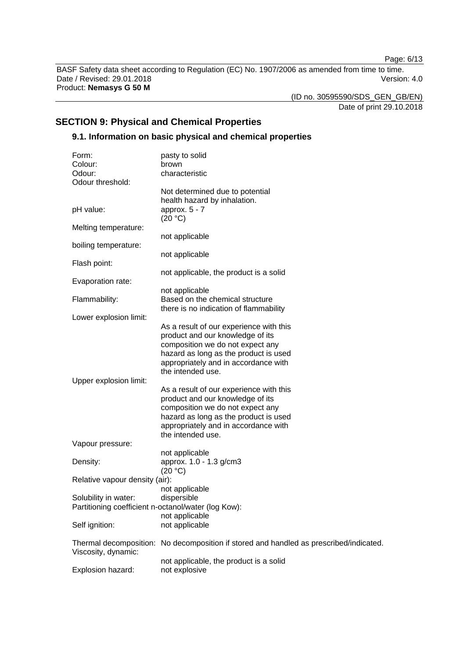Page: 6/13

BASF Safety data sheet according to Regulation (EC) No. 1907/2006 as amended from time to time. Date / Revised: 29.01.2018 **Version: 4.0** Product: **Nemasys G 50 M**

(ID no. 30595590/SDS\_GEN\_GB/EN)

Date of print 29.10.2018

# **SECTION 9: Physical and Chemical Properties**

# **9.1. Information on basic physical and chemical properties**

| Form:                                               | pasty to solid                                                                         |
|-----------------------------------------------------|----------------------------------------------------------------------------------------|
| Colour:                                             | brown                                                                                  |
| Odour:                                              | characteristic                                                                         |
| Odour threshold:                                    |                                                                                        |
|                                                     | Not determined due to potential                                                        |
|                                                     | health hazard by inhalation.                                                           |
| pH value:                                           | approx. $5 - 7$<br>(20 °C)                                                             |
| Melting temperature:                                |                                                                                        |
|                                                     | not applicable                                                                         |
| boiling temperature:                                |                                                                                        |
|                                                     | not applicable                                                                         |
| Flash point:                                        |                                                                                        |
|                                                     | not applicable, the product is a solid                                                 |
| Evaporation rate:                                   |                                                                                        |
|                                                     | not applicable                                                                         |
| Flammability:                                       | Based on the chemical structure                                                        |
|                                                     | there is no indication of flammability                                                 |
| Lower explosion limit:                              |                                                                                        |
|                                                     | As a result of our experience with this                                                |
|                                                     | product and our knowledge of its                                                       |
|                                                     | composition we do not expect any                                                       |
|                                                     | hazard as long as the product is used                                                  |
|                                                     | appropriately and in accordance with                                                   |
|                                                     | the intended use.                                                                      |
| Upper explosion limit:                              |                                                                                        |
|                                                     | As a result of our experience with this                                                |
|                                                     | product and our knowledge of its                                                       |
|                                                     | composition we do not expect any                                                       |
|                                                     | hazard as long as the product is used                                                  |
|                                                     | appropriately and in accordance with                                                   |
|                                                     | the intended use.                                                                      |
| Vapour pressure:                                    |                                                                                        |
| Density:                                            | not applicable<br>approx. 1.0 - 1.3 g/cm3                                              |
|                                                     | (20 °C)                                                                                |
| Relative vapour density (air):                      |                                                                                        |
|                                                     | not applicable                                                                         |
| Solubility in water:                                | dispersible                                                                            |
| Partitioning coefficient n-octanol/water (log Kow): |                                                                                        |
|                                                     | not applicable                                                                         |
| Self ignition:                                      | not applicable                                                                         |
|                                                     |                                                                                        |
|                                                     | Thermal decomposition: No decomposition if stored and handled as prescribed/indicated. |
| Viscosity, dynamic:                                 |                                                                                        |
|                                                     | not applicable, the product is a solid                                                 |
| Explosion hazard:                                   | not explosive                                                                          |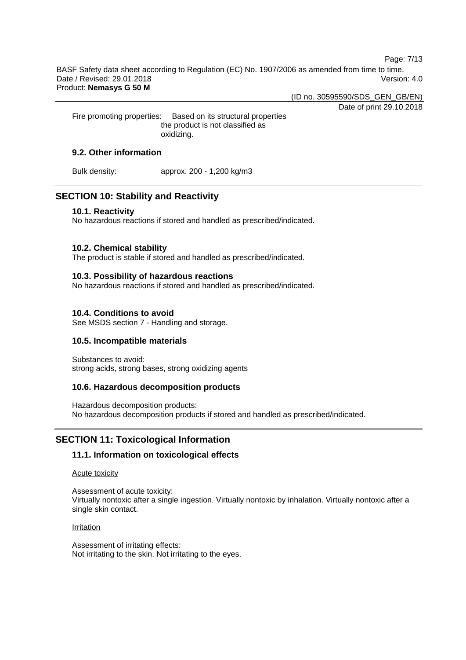Page: 7/13

BASF Safety data sheet according to Regulation (EC) No. 1907/2006 as amended from time to time. Date / Revised: 29.01.2018 Version: 4.0 Product: **Nemasys G 50 M**

(ID no. 30595590/SDS\_GEN\_GB/EN)

Date of print 29.10.2018

Fire promoting properties: Based on its structural properties the product is not classified as oxidizing.

# **9.2. Other information**

Bulk density: approx. 200 - 1,200 kg/m3

# **SECTION 10: Stability and Reactivity**

## **10.1. Reactivity**

No hazardous reactions if stored and handled as prescribed/indicated.

# **10.2. Chemical stability**

The product is stable if stored and handled as prescribed/indicated.

# **10.3. Possibility of hazardous reactions**

No hazardous reactions if stored and handled as prescribed/indicated.

# **10.4. Conditions to avoid**

See MSDS section 7 - Handling and storage.

# **10.5. Incompatible materials**

Substances to avoid: strong acids, strong bases, strong oxidizing agents

# **10.6. Hazardous decomposition products**

Hazardous decomposition products: No hazardous decomposition products if stored and handled as prescribed/indicated.

# **SECTION 11: Toxicological Information**

# **11.1. Information on toxicological effects**

#### Acute toxicity

Assessment of acute toxicity: Virtually nontoxic after a single ingestion. Virtually nontoxic by inhalation. Virtually nontoxic after a single skin contact.

#### Irritation

Assessment of irritating effects: Not irritating to the skin. Not irritating to the eyes.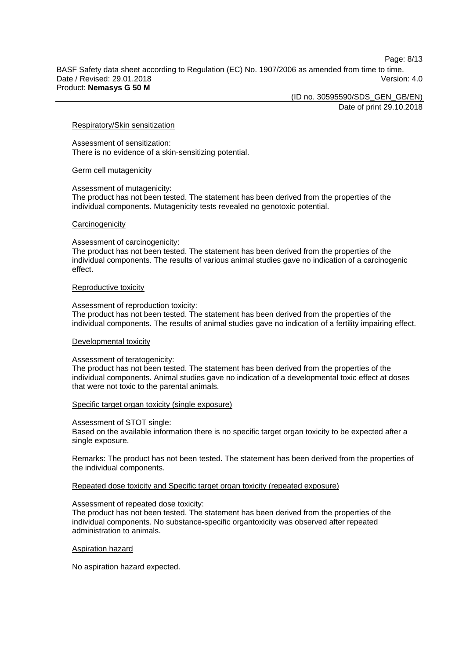Page: 8/13

BASF Safety data sheet according to Regulation (EC) No. 1907/2006 as amended from time to time. Date / Revised: 29.01.2018 Version: 4.0 Product: **Nemasys G 50 M**

(ID no. 30595590/SDS\_GEN\_GB/EN)

Date of print 29.10.2018

#### Respiratory/Skin sensitization

Assessment of sensitization: There is no evidence of a skin-sensitizing potential.

#### Germ cell mutagenicity

Assessment of mutagenicity:

The product has not been tested. The statement has been derived from the properties of the individual components. Mutagenicity tests revealed no genotoxic potential.

#### **Carcinogenicity**

Assessment of carcinogenicity:

The product has not been tested. The statement has been derived from the properties of the individual components. The results of various animal studies gave no indication of a carcinogenic effect.

#### Reproductive toxicity

Assessment of reproduction toxicity:

The product has not been tested. The statement has been derived from the properties of the individual components. The results of animal studies gave no indication of a fertility impairing effect.

#### Developmental toxicity

#### Assessment of teratogenicity:

The product has not been tested. The statement has been derived from the properties of the individual components. Animal studies gave no indication of a developmental toxic effect at doses that were not toxic to the parental animals.

#### Specific target organ toxicity (single exposure)

Assessment of STOT single:

Based on the available information there is no specific target organ toxicity to be expected after a single exposure.

Remarks: The product has not been tested. The statement has been derived from the properties of the individual components.

Repeated dose toxicity and Specific target organ toxicity (repeated exposure)

#### Assessment of repeated dose toxicity:

The product has not been tested. The statement has been derived from the properties of the individual components. No substance-specific organtoxicity was observed after repeated administration to animals.

#### Aspiration hazard

No aspiration hazard expected.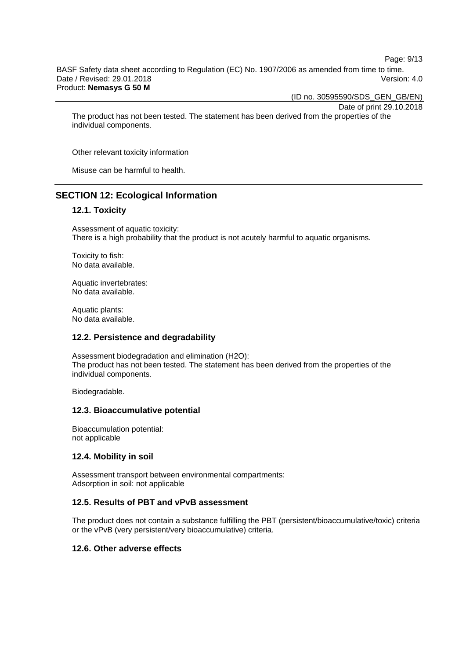Page: 9/13

BASF Safety data sheet according to Regulation (EC) No. 1907/2006 as amended from time to time. Date / Revised: 29.01.2018 Version: 4.0 Product: **Nemasys G 50 M**

(ID no. 30595590/SDS\_GEN\_GB/EN)

Date of print 29.10.2018

The product has not been tested. The statement has been derived from the properties of the individual components.

Other relevant toxicity information

Misuse can be harmful to health.

# **SECTION 12: Ecological Information**

# **12.1. Toxicity**

Assessment of aquatic toxicity: There is a high probability that the product is not acutely harmful to aquatic organisms.

Toxicity to fish: No data available.

Aquatic invertebrates: No data available.

Aquatic plants: No data available.

#### **12.2. Persistence and degradability**

Assessment biodegradation and elimination (H2O): The product has not been tested. The statement has been derived from the properties of the individual components.

Biodegradable.

#### **12.3. Bioaccumulative potential**

Bioaccumulation potential: not applicable

# **12.4. Mobility in soil**

Assessment transport between environmental compartments: Adsorption in soil: not applicable

#### **12.5. Results of PBT and vPvB assessment**

The product does not contain a substance fulfilling the PBT (persistent/bioaccumulative/toxic) criteria or the vPvB (very persistent/very bioaccumulative) criteria.

## **12.6. Other adverse effects**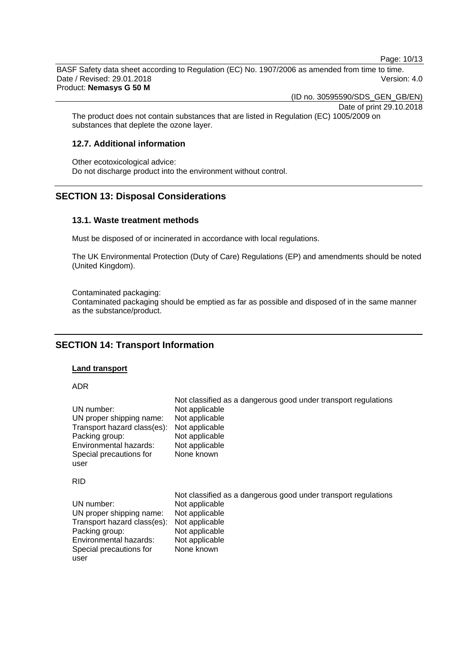Page: 10/13

BASF Safety data sheet according to Regulation (EC) No. 1907/2006 as amended from time to time. Date / Revised: 29.01.2018 Version: 4.0 Product: **Nemasys G 50 M**

(ID no. 30595590/SDS\_GEN\_GB/EN)

Date of print 29.10.2018

The product does not contain substances that are listed in Regulation (EC) 1005/2009 on substances that deplete the ozone layer.

# **12.7. Additional information**

Other ecotoxicological advice: Do not discharge product into the environment without control.

# **SECTION 13: Disposal Considerations**

## **13.1. Waste treatment methods**

Must be disposed of or incinerated in accordance with local regulations.

The UK Environmental Protection (Duty of Care) Regulations (EP) and amendments should be noted (United Kingdom).

Contaminated packaging:

Contaminated packaging should be emptied as far as possible and disposed of in the same manner as the substance/product.

# **SECTION 14: Transport Information**

#### **Land transport**

ADR

| UN number:                  | Not classified as a dangerous good under transport regulations |
|-----------------------------|----------------------------------------------------------------|
| UN proper shipping name:    | Not applicable                                                 |
| Transport hazard class(es): | Not applicable                                                 |
| Packing group:              | Not applicable                                                 |
| Environmental hazards:      | Not applicable                                                 |
| Special precautions for     | Not applicable                                                 |
| user                        | None known                                                     |
| <b>RID</b>                  |                                                                |
| UN number:                  | Not classified as a dangerous good under transport regulations |
| UN proper shipping name:    | Not applicable                                                 |
| Transport hazard class(es): | Not applicable                                                 |
| Packing group:              | Not applicable                                                 |
| Environmental hazards:      | Not applicable                                                 |
| Special precautions for     | Not applicable                                                 |
| user                        | None known                                                     |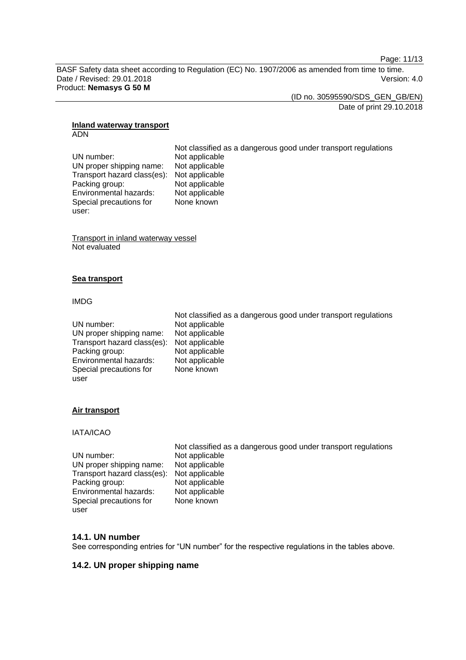Page: 11/13

BASF Safety data sheet according to Regulation (EC) No. 1907/2006 as amended from time to time. Date / Revised: 29.01.2018 Version: 4.0 Product: **Nemasys G 50 M**

(ID no. 30595590/SDS\_GEN\_GB/EN) Date of print 29.10.2018

#### **Inland waterway transport** ADN

Not classified as a dangerous good under transport regulations UN number: Not applicable<br>UN proper shipping name: Not applicable UN proper shipping name: Transport hazard class(es): Not applicable Packing group: Not applicable<br>
Environmental hazards: Not applicable Environmental hazards: Special precautions for None known

Transport in inland waterway vessel Not evaluated

# **Sea transport**

## IMDG

user:

|                                            | Not classified as a dangerous good under transport regulations |
|--------------------------------------------|----------------------------------------------------------------|
| UN number:                                 | Not applicable                                                 |
| UN proper shipping name:                   | Not applicable                                                 |
| Transport hazard class(es): Not applicable |                                                                |
| Packing group:                             | Not applicable                                                 |
| Environmental hazards:                     | Not applicable                                                 |
| Special precautions for                    | None known                                                     |
| user                                       |                                                                |

# **Air transport**

# IATA/ICAO

|                                            | Not classified as a dangerous good under transport regulations |
|--------------------------------------------|----------------------------------------------------------------|
| UN number:                                 | Not applicable                                                 |
| UN proper shipping name:                   | Not applicable                                                 |
| Transport hazard class(es): Not applicable |                                                                |
| Packing group:                             | Not applicable                                                 |
| Environmental hazards:                     | Not applicable                                                 |
| Special precautions for                    | None known                                                     |
| user                                       |                                                                |

# **14.1. UN number**

See corresponding entries for "UN number" for the respective regulations in the tables above.

# **14.2. UN proper shipping name**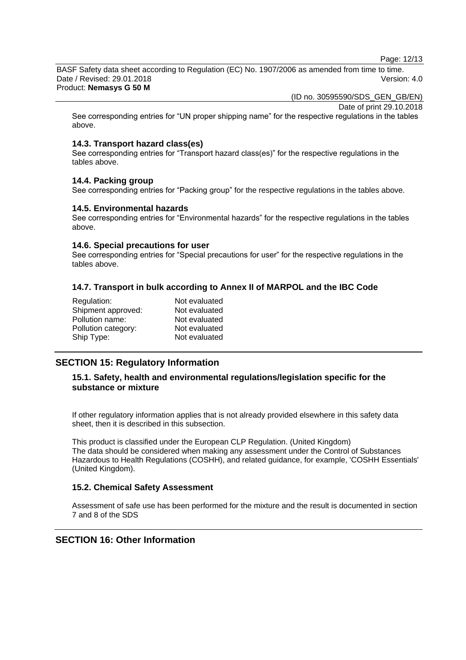Page: 12/13

BASF Safety data sheet according to Regulation (EC) No. 1907/2006 as amended from time to time. Date / Revised: 29.01.2018 Version: 4.0 Product: **Nemasys G 50 M**

(ID no. 30595590/SDS\_GEN\_GB/EN)

Date of print 29.10.2018

See corresponding entries for "UN proper shipping name" for the respective regulations in the tables above.

## **14.3. Transport hazard class(es)**

See corresponding entries for "Transport hazard class(es)" for the respective regulations in the tables above.

#### **14.4. Packing group**

See corresponding entries for "Packing group" for the respective regulations in the tables above.

#### **14.5. Environmental hazards**

See corresponding entries for "Environmental hazards" for the respective regulations in the tables above.

## **14.6. Special precautions for user**

See corresponding entries for "Special precautions for user" for the respective regulations in the tables above.

# **14.7. Transport in bulk according to Annex II of MARPOL and the IBC Code**

| Regulation:         | Not evaluated |
|---------------------|---------------|
| Shipment approved:  | Not evaluated |
| Pollution name:     | Not evaluated |
| Pollution category: | Not evaluated |
| Ship Type:          | Not evaluated |
|                     |               |

# **SECTION 15: Regulatory Information**

# **15.1. Safety, health and environmental regulations/legislation specific for the substance or mixture**

If other regulatory information applies that is not already provided elsewhere in this safety data sheet, then it is described in this subsection.

This product is classified under the European CLP Regulation. (United Kingdom) The data should be considered when making any assessment under the Control of Substances Hazardous to Health Regulations (COSHH), and related guidance, for example, 'COSHH Essentials' (United Kingdom).

# **15.2. Chemical Safety Assessment**

Assessment of safe use has been performed for the mixture and the result is documented in section 7 and 8 of the SDS

# **SECTION 16: Other Information**